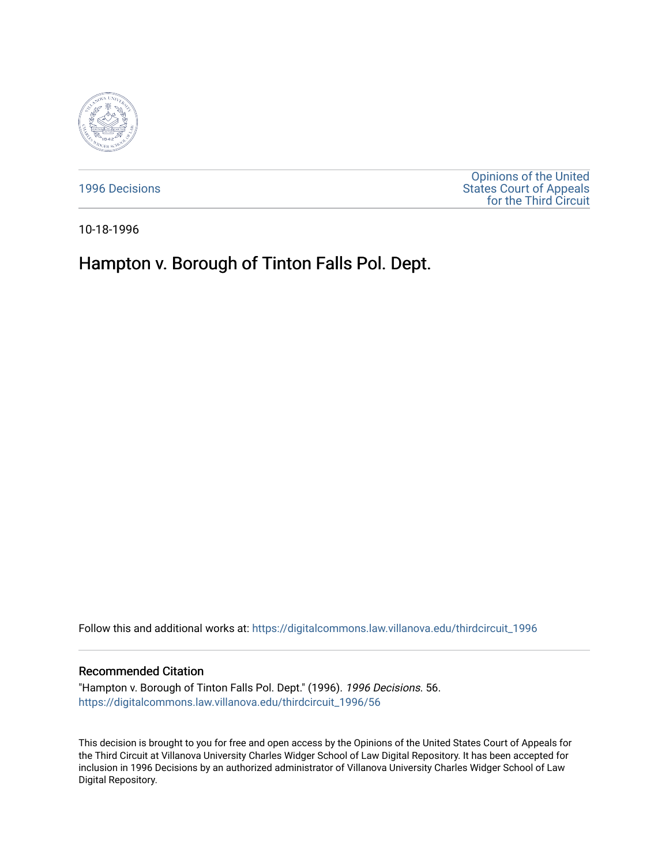

[1996 Decisions](https://digitalcommons.law.villanova.edu/thirdcircuit_1996)

[Opinions of the United](https://digitalcommons.law.villanova.edu/thirdcircuit)  [States Court of Appeals](https://digitalcommons.law.villanova.edu/thirdcircuit)  [for the Third Circuit](https://digitalcommons.law.villanova.edu/thirdcircuit) 

10-18-1996

# Hampton v. Borough of Tinton Falls Pol. Dept.

Follow this and additional works at: [https://digitalcommons.law.villanova.edu/thirdcircuit\\_1996](https://digitalcommons.law.villanova.edu/thirdcircuit_1996?utm_source=digitalcommons.law.villanova.edu%2Fthirdcircuit_1996%2F56&utm_medium=PDF&utm_campaign=PDFCoverPages) 

## Recommended Citation

"Hampton v. Borough of Tinton Falls Pol. Dept." (1996). 1996 Decisions. 56. [https://digitalcommons.law.villanova.edu/thirdcircuit\\_1996/56](https://digitalcommons.law.villanova.edu/thirdcircuit_1996/56?utm_source=digitalcommons.law.villanova.edu%2Fthirdcircuit_1996%2F56&utm_medium=PDF&utm_campaign=PDFCoverPages)

This decision is brought to you for free and open access by the Opinions of the United States Court of Appeals for the Third Circuit at Villanova University Charles Widger School of Law Digital Repository. It has been accepted for inclusion in 1996 Decisions by an authorized administrator of Villanova University Charles Widger School of Law Digital Repository.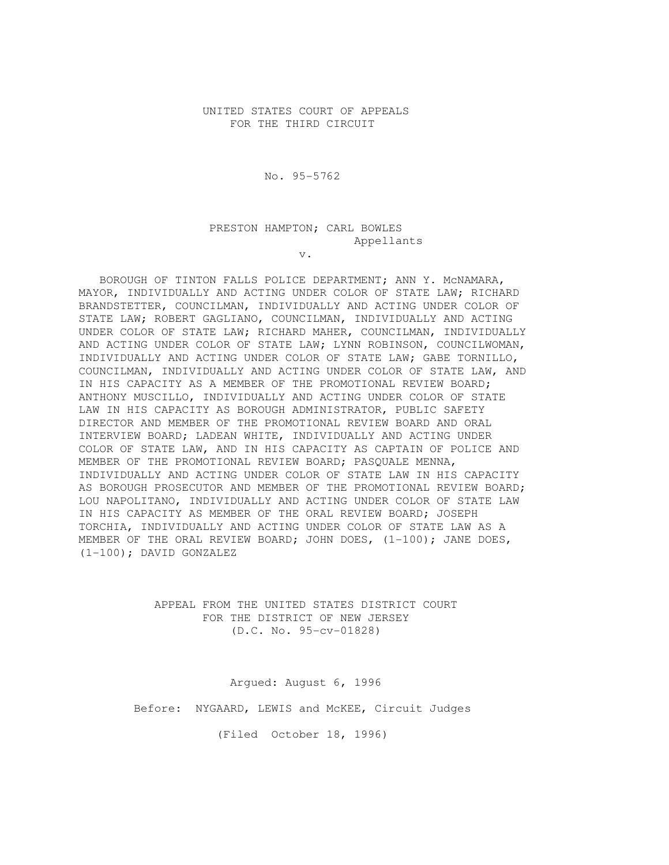### UNITED STATES COURT OF APPEALS FOR THE THIRD CIRCUIT

No. 95-5762

## PRESTON HAMPTON; CARL BOWLES Appellants

v.

 BOROUGH OF TINTON FALLS POLICE DEPARTMENT; ANN Y. McNAMARA, MAYOR, INDIVIDUALLY AND ACTING UNDER COLOR OF STATE LAW; RICHARD BRANDSTETTER, COUNCILMAN, INDIVIDUALLY AND ACTING UNDER COLOR OF STATE LAW; ROBERT GAGLIANO, COUNCILMAN, INDIVIDUALLY AND ACTING UNDER COLOR OF STATE LAW; RICHARD MAHER, COUNCILMAN, INDIVIDUALLY AND ACTING UNDER COLOR OF STATE LAW; LYNN ROBINSON, COUNCILWOMAN, INDIVIDUALLY AND ACTING UNDER COLOR OF STATE LAW; GABE TORNILLO, COUNCILMAN, INDIVIDUALLY AND ACTING UNDER COLOR OF STATE LAW, AND IN HIS CAPACITY AS A MEMBER OF THE PROMOTIONAL REVIEW BOARD; ANTHONY MUSCILLO, INDIVIDUALLY AND ACTING UNDER COLOR OF STATE LAW IN HIS CAPACITY AS BOROUGH ADMINISTRATOR, PUBLIC SAFETY DIRECTOR AND MEMBER OF THE PROMOTIONAL REVIEW BOARD AND ORAL INTERVIEW BOARD; LADEAN WHITE, INDIVIDUALLY AND ACTING UNDER COLOR OF STATE LAW, AND IN HIS CAPACITY AS CAPTAIN OF POLICE AND MEMBER OF THE PROMOTIONAL REVIEW BOARD; PASQUALE MENNA, INDIVIDUALLY AND ACTING UNDER COLOR OF STATE LAW IN HIS CAPACITY AS BOROUGH PROSECUTOR AND MEMBER OF THE PROMOTIONAL REVIEW BOARD; LOU NAPOLITANO, INDIVIDUALLY AND ACTING UNDER COLOR OF STATE LAW IN HIS CAPACITY AS MEMBER OF THE ORAL REVIEW BOARD; JOSEPH TORCHIA, INDIVIDUALLY AND ACTING UNDER COLOR OF STATE LAW AS A MEMBER OF THE ORAL REVIEW BOARD; JOHN DOES,  $(1-100)$ ; JANE DOES, (1-100); DAVID GONZALEZ

> APPEAL FROM THE UNITED STATES DISTRICT COURT FOR THE DISTRICT OF NEW JERSEY (D.C. No. 95-cv-01828)

 Argued: August 6, 1996 Before: NYGAARD, LEWIS and McKEE, Circuit Judges (Filed October 18, 1996)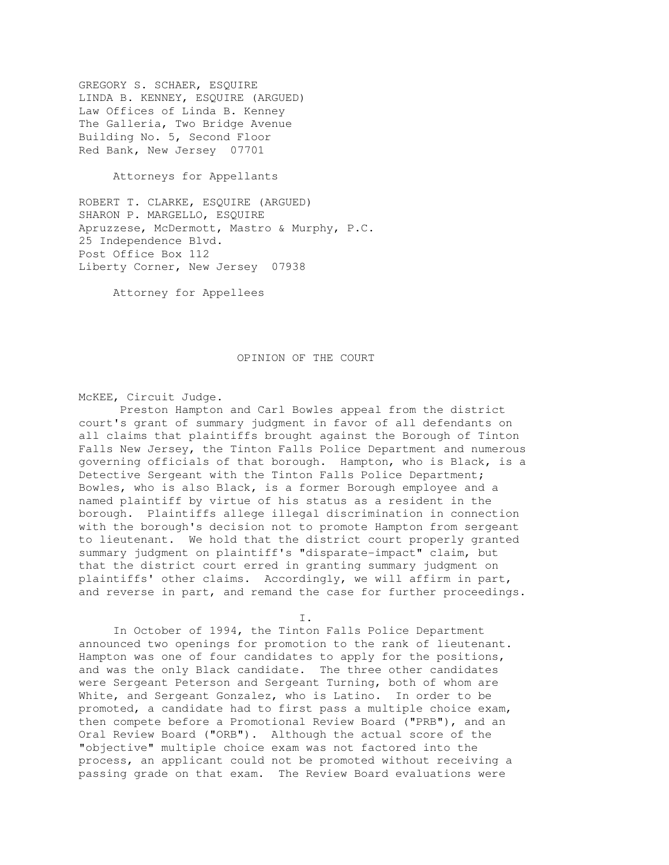GREGORY S. SCHAER, ESQUIRE LINDA B. KENNEY, ESQUIRE (ARGUED) Law Offices of Linda B. Kenney The Galleria, Two Bridge Avenue Building No. 5, Second Floor Red Bank, New Jersey 07701

Attorneys for Appellants

ROBERT T. CLARKE, ESQUIRE (ARGUED) SHARON P. MARGELLO, ESQUIRE Apruzzese, McDermott, Mastro & Murphy, P.C. 25 Independence Blvd. Post Office Box 112 Liberty Corner, New Jersey 07938

Attorney for Appellees

#### OPINION OF THE COURT

McKEE, Circuit Judge.

 Preston Hampton and Carl Bowles appeal from the district court's grant of summary judgment in favor of all defendants on all claims that plaintiffs brought against the Borough of Tinton Falls New Jersey, the Tinton Falls Police Department and numerous governing officials of that borough. Hampton, who is Black, is a Detective Sergeant with the Tinton Falls Police Department; Bowles, who is also Black, is a former Borough employee and a named plaintiff by virtue of his status as a resident in the borough. Plaintiffs allege illegal discrimination in connection with the borough's decision not to promote Hampton from sergeant to lieutenant. We hold that the district court properly granted summary judgment on plaintiff's "disparate-impact" claim, but that the district court erred in granting summary judgment on plaintiffs' other claims. Accordingly, we will affirm in part, and reverse in part, and remand the case for further proceedings.

 $\mathbf{I}$ . I.e., the contract of  $\mathbf{I}$ .

 In October of 1994, the Tinton Falls Police Department announced two openings for promotion to the rank of lieutenant. Hampton was one of four candidates to apply for the positions, and was the only Black candidate. The three other candidates were Sergeant Peterson and Sergeant Turning, both of whom are White, and Sergeant Gonzalez, who is Latino. In order to be promoted, a candidate had to first pass a multiple choice exam, then compete before a Promotional Review Board ("PRB"), and an Oral Review Board ("ORB"). Although the actual score of the "objective" multiple choice exam was not factored into the process, an applicant could not be promoted without receiving a passing grade on that exam. The Review Board evaluations were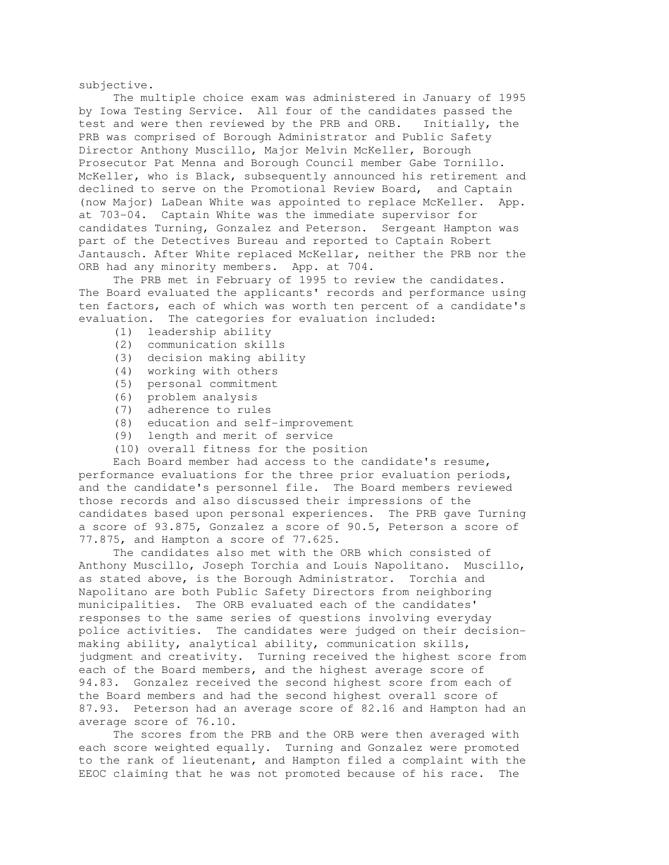subjective.

 The multiple choice exam was administered in January of 1995 by Iowa Testing Service. All four of the candidates passed the test and were then reviewed by the PRB and ORB. Initially, the PRB was comprised of Borough Administrator and Public Safety Director Anthony Muscillo, Major Melvin McKeller, Borough Prosecutor Pat Menna and Borough Council member Gabe Tornillo. McKeller, who is Black, subsequently announced his retirement and declined to serve on the Promotional Review Board, and Captain (now Major) LaDean White was appointed to replace McKeller. App. at 703-04. Captain White was the immediate supervisor for candidates Turning, Gonzalez and Peterson. Sergeant Hampton was part of the Detectives Bureau and reported to Captain Robert Jantausch. After White replaced McKellar, neither the PRB nor the ORB had any minority members. App. at 704.

 The PRB met in February of 1995 to review the candidates. The Board evaluated the applicants' records and performance using ten factors, each of which was worth ten percent of a candidate's evaluation. The categories for evaluation included:

- (1) leadership ability
- (2) communication skills
- (3) decision making ability
- (4) working with others
- (5) personal commitment
- (6) problem analysis
- (7) adherence to rules
- (8) education and self-improvement
- (9) length and merit of service
- (10) overall fitness for the position

 Each Board member had access to the candidate's resume, performance evaluations for the three prior evaluation periods, and the candidate's personnel file. The Board members reviewed those records and also discussed their impressions of the candidates based upon personal experiences. The PRB gave Turning a score of 93.875, Gonzalez a score of 90.5, Peterson a score of 77.875, and Hampton a score of 77.625.

 The candidates also met with the ORB which consisted of Anthony Muscillo, Joseph Torchia and Louis Napolitano. Muscillo, as stated above, is the Borough Administrator. Torchia and Napolitano are both Public Safety Directors from neighboring municipalities. The ORB evaluated each of the candidates' responses to the same series of questions involving everyday police activities. The candidates were judged on their decisionmaking ability, analytical ability, communication skills, judgment and creativity. Turning received the highest score from each of the Board members, and the highest average score of 94.83. Gonzalez received the second highest score from each of the Board members and had the second highest overall score of 87.93. Peterson had an average score of 82.16 and Hampton had an average score of 76.10.

 The scores from the PRB and the ORB were then averaged with each score weighted equally. Turning and Gonzalez were promoted to the rank of lieutenant, and Hampton filed a complaint with the EEOC claiming that he was not promoted because of his race. The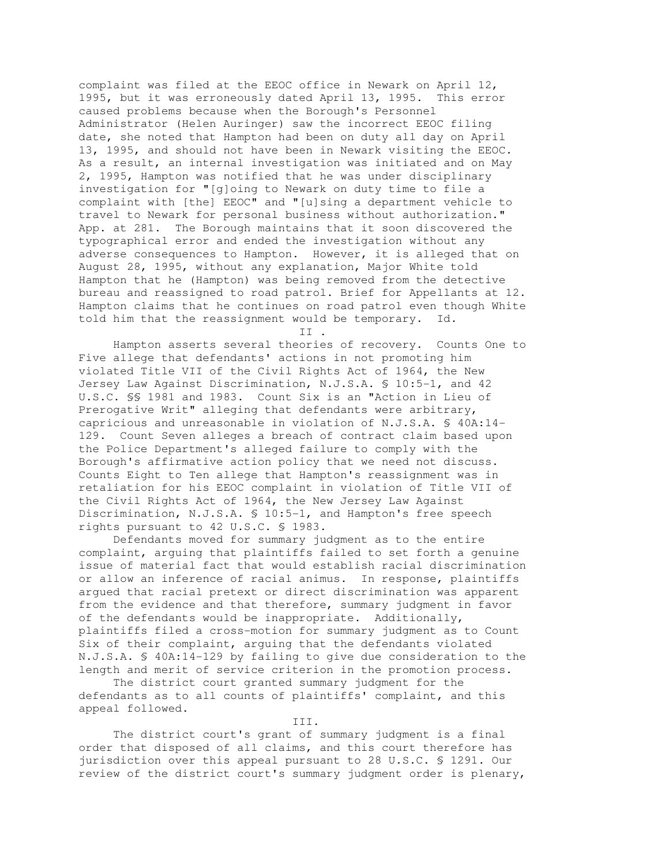complaint was filed at the EEOC office in Newark on April 12, 1995, but it was erroneously dated April 13, 1995. This error caused problems because when the Borough's Personnel Administrator (Helen Auringer) saw the incorrect EEOC filing date, she noted that Hampton had been on duty all day on April 13, 1995, and should not have been in Newark visiting the EEOC. As a result, an internal investigation was initiated and on May 2, 1995, Hampton was notified that he was under disciplinary investigation for "[g]oing to Newark on duty time to file a complaint with [the] EEOC" and "[u]sing a department vehicle to travel to Newark for personal business without authorization." App. at 281. The Borough maintains that it soon discovered the typographical error and ended the investigation without any adverse consequences to Hampton. However, it is alleged that on August 28, 1995, without any explanation, Major White told Hampton that he (Hampton) was being removed from the detective bureau and reassigned to road patrol. Brief for Appellants at 12. Hampton claims that he continues on road patrol even though White told him that the reassignment would be temporary. Id.

II .

 Hampton asserts several theories of recovery. Counts One to Five allege that defendants' actions in not promoting him violated Title VII of the Civil Rights Act of 1964, the New Jersey Law Against Discrimination, N.J.S.A. § 10:5-1, and 42 U.S.C. §§ 1981 and 1983. Count Six is an "Action in Lieu of Prerogative Writ" alleging that defendants were arbitrary, capricious and unreasonable in violation of N.J.S.A. § 40A:14- 129. Count Seven alleges a breach of contract claim based upon the Police Department's alleged failure to comply with the Borough's affirmative action policy that we need not discuss. Counts Eight to Ten allege that Hampton's reassignment was in retaliation for his EEOC complaint in violation of Title VII of the Civil Rights Act of 1964, the New Jersey Law Against Discrimination, N.J.S.A. § 10:5-1, and Hampton's free speech rights pursuant to 42 U.S.C. § 1983.

 Defendants moved for summary judgment as to the entire complaint, arguing that plaintiffs failed to set forth a genuine issue of material fact that would establish racial discrimination or allow an inference of racial animus. In response, plaintiffs argued that racial pretext or direct discrimination was apparent from the evidence and that therefore, summary judgment in favor of the defendants would be inappropriate. Additionally, plaintiffs filed a cross-motion for summary judgment as to Count Six of their complaint, arguing that the defendants violated N.J.S.A. § 40A:14-129 by failing to give due consideration to the length and merit of service criterion in the promotion process.

 The district court granted summary judgment for the defendants as to all counts of plaintiffs' complaint, and this appeal followed.

III.

 The district court's grant of summary judgment is a final order that disposed of all claims, and this court therefore has jurisdiction over this appeal pursuant to 28 U.S.C. § 1291. Our review of the district court's summary judgment order is plenary,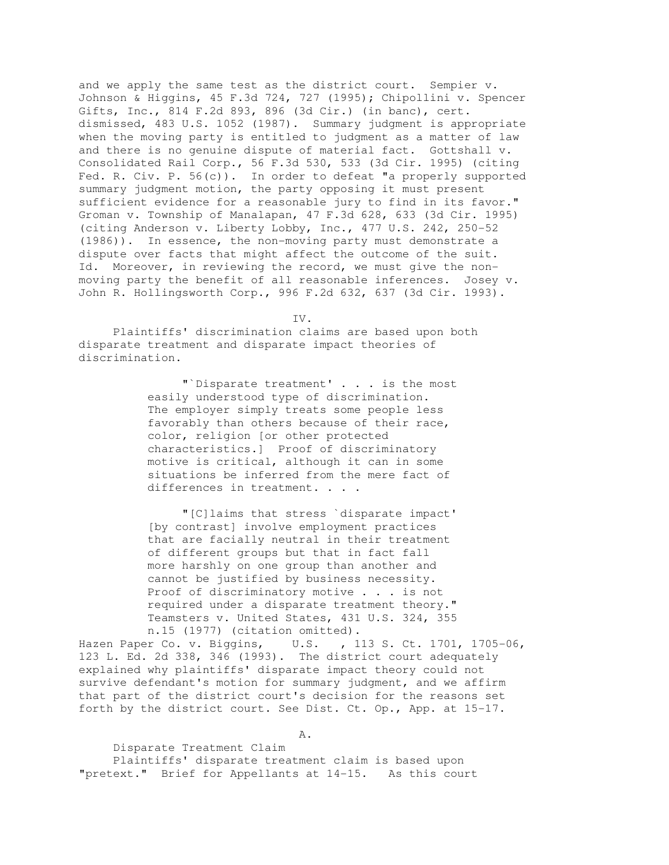and we apply the same test as the district court. Sempier v. Johnson & Higgins, 45 F.3d 724, 727 (1995); Chipollini v. Spencer Gifts, Inc., 814 F.2d 893, 896 (3d Cir.) (in banc), cert. dismissed, 483 U.S. 1052 (1987). Summary judgment is appropriate when the moving party is entitled to judgment as a matter of law and there is no genuine dispute of material fact. Gottshall v. Consolidated Rail Corp., 56 F.3d 530, 533 (3d Cir. 1995) (citing Fed. R. Civ. P. 56(c)). In order to defeat "a properly supported summary judgment motion, the party opposing it must present sufficient evidence for a reasonable jury to find in its favor." Groman v. Township of Manalapan, 47 F.3d 628, 633 (3d Cir. 1995) (citing Anderson v. Liberty Lobby, Inc., 477 U.S. 242, 250-52 (1986)). In essence, the non-moving party must demonstrate a dispute over facts that might affect the outcome of the suit. Id. Moreover, in reviewing the record, we must give the nonmoving party the benefit of all reasonable inferences. Josey v. John R. Hollingsworth Corp., 996 F.2d 632, 637 (3d Cir. 1993).

IV.

 Plaintiffs' discrimination claims are based upon both disparate treatment and disparate impact theories of discrimination.

> "`Disparate treatment' . . . is the most easily understood type of discrimination. The employer simply treats some people less favorably than others because of their race, color, religion [or other protected characteristics.] Proof of discriminatory motive is critical, although it can in some situations be inferred from the mere fact of differences in treatment. . . .

 "[C]laims that stress `disparate impact' [by contrast] involve employment practices that are facially neutral in their treatment of different groups but that in fact fall more harshly on one group than another and cannot be justified by business necessity. Proof of discriminatory motive . . . is not required under a disparate treatment theory." Teamsters v. United States, 431 U.S. 324, 355 n.15 (1977) (citation omitted).

Hazen Paper Co. v. Biggins, U.S. , 113 S. Ct. 1701, 1705-06, 123 L. Ed. 2d 338, 346 (1993). The district court adequately explained why plaintiffs' disparate impact theory could not survive defendant's motion for summary judgment, and we affirm that part of the district court's decision for the reasons set forth by the district court. See Dist. Ct. Op., App. at 15-17.

 Disparate Treatment Claim Plaintiffs' disparate treatment claim is based upon "pretext." Brief for Appellants at 14-15. As this court

A.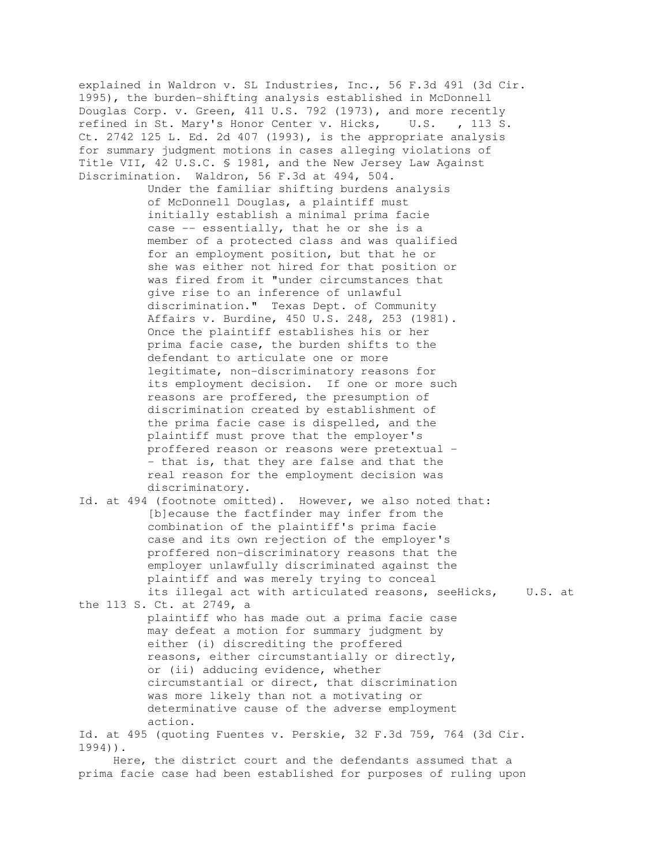explained in Waldron v. SL Industries, Inc., 56 F.3d 491 (3d Cir. 1995), the burden-shifting analysis established in McDonnell Douglas Corp. v. Green, 411 U.S. 792 (1973), and more recently refined in St. Mary's Honor Center v. Hicks, U.S. , 113 S. Ct. 2742 125 L. Ed. 2d 407 (1993), is the appropriate analysis for summary judgment motions in cases alleging violations of Title VII, 42 U.S.C. § 1981, and the New Jersey Law Against Discrimination. Waldron, 56 F.3d at 494, 504.

> Under the familiar shifting burdens analysis of McDonnell Douglas, a plaintiff must initially establish a minimal prima facie case -- essentially, that he or she is a member of a protected class and was qualified for an employment position, but that he or she was either not hired for that position or was fired from it "under circumstances that give rise to an inference of unlawful discrimination." Texas Dept. of Community Affairs v. Burdine, 450 U.S. 248, 253 (1981). Once the plaintiff establishes his or her prima facie case, the burden shifts to the defendant to articulate one or more legitimate, non-discriminatory reasons for its employment decision. If one or more such reasons are proffered, the presumption of discrimination created by establishment of the prima facie case is dispelled, and the plaintiff must prove that the employer's proffered reason or reasons were pretextual - - that is, that they are false and that the real reason for the employment decision was discriminatory.

Id. at 494 (footnote omitted). However, we also noted that: [b]ecause the factfinder may infer from the combination of the plaintiff's prima facie case and its own rejection of the employer's proffered non-discriminatory reasons that the employer unlawfully discriminated against the plaintiff and was merely trying to conceal its illegal act with articulated reasons, seeHicks, U.S. at

the 113 S. Ct. at 2749, a plaintiff who has made out a prima facie case may defeat a motion for summary judgment by either (i) discrediting the proffered reasons, either circumstantially or directly, or (ii) adducing evidence, whether circumstantial or direct, that discrimination was more likely than not a motivating or determinative cause of the adverse employment action.

Id. at 495 (quoting Fuentes v. Perskie, 32 F.3d 759, 764 (3d Cir. 1994)).

 Here, the district court and the defendants assumed that a prima facie case had been established for purposes of ruling upon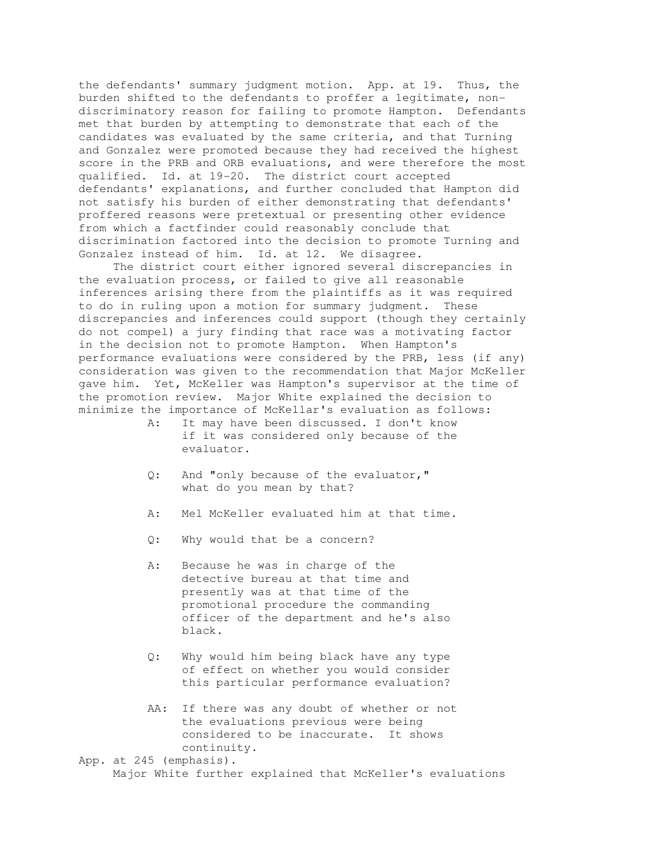the defendants' summary judgment motion. App. at 19. Thus, the burden shifted to the defendants to proffer a legitimate, nondiscriminatory reason for failing to promote Hampton. Defendants met that burden by attempting to demonstrate that each of the candidates was evaluated by the same criteria, and that Turning and Gonzalez were promoted because they had received the highest score in the PRB and ORB evaluations, and were therefore the most qualified. Id. at 19-20. The district court accepted defendants' explanations, and further concluded that Hampton did not satisfy his burden of either demonstrating that defendants' proffered reasons were pretextual or presenting other evidence from which a factfinder could reasonably conclude that discrimination factored into the decision to promote Turning and Gonzalez instead of him. Id. at 12. We disagree.

 The district court either ignored several discrepancies in the evaluation process, or failed to give all reasonable inferences arising there from the plaintiffs as it was required to do in ruling upon a motion for summary judgment. These discrepancies and inferences could support (though they certainly do not compel) a jury finding that race was a motivating factor in the decision not to promote Hampton. When Hampton's performance evaluations were considered by the PRB, less (if any) consideration was given to the recommendation that Major McKeller gave him. Yet, McKeller was Hampton's supervisor at the time of the promotion review. Major White explained the decision to minimize the importance of McKellar's evaluation as follows:

- A: It may have been discussed. I don't know if it was considered only because of the evaluator.
- Q: And "only because of the evaluator," what do you mean by that?
- A: Mel McKeller evaluated him at that time.
- Q: Why would that be a concern?
- A: Because he was in charge of the detective bureau at that time and presently was at that time of the promotional procedure the commanding officer of the department and he's also black.
- Q: Why would him being black have any type of effect on whether you would consider this particular performance evaluation?
- AA: If there was any doubt of whether or not the evaluations previous were being considered to be inaccurate. It shows continuity.

App. at 245 (emphasis). Major White further explained that McKeller's evaluations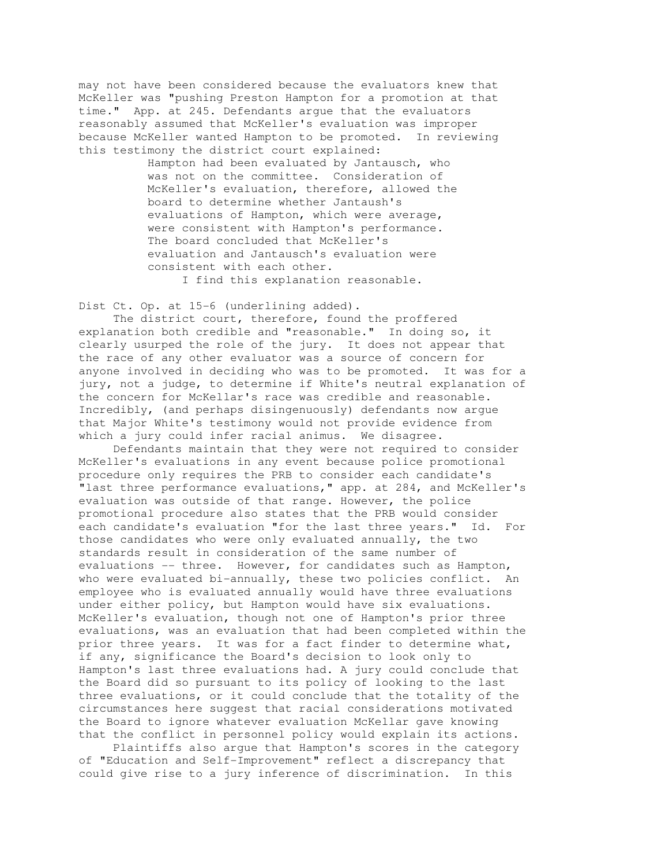may not have been considered because the evaluators knew that McKeller was "pushing Preston Hampton for a promotion at that time." App. at 245. Defendants argue that the evaluators reasonably assumed that McKeller's evaluation was improper because McKeller wanted Hampton to be promoted. In reviewing this testimony the district court explained:

> Hampton had been evaluated by Jantausch, who was not on the committee. Consideration of McKeller's evaluation, therefore, allowed the board to determine whether Jantaush's evaluations of Hampton, which were average, were consistent with Hampton's performance. The board concluded that McKeller's evaluation and Jantausch's evaluation were consistent with each other.

I find this explanation reasonable.

Dist Ct. Op. at 15-6 (underlining added).

 The district court, therefore, found the proffered explanation both credible and "reasonable." In doing so, it clearly usurped the role of the jury. It does not appear that the race of any other evaluator was a source of concern for anyone involved in deciding who was to be promoted. It was for a jury, not a judge, to determine if White's neutral explanation of the concern for McKellar's race was credible and reasonable. Incredibly, (and perhaps disingenuously) defendants now argue that Major White's testimony would not provide evidence from which a jury could infer racial animus. We disagree.

 Defendants maintain that they were not required to consider McKeller's evaluations in any event because police promotional procedure only requires the PRB to consider each candidate's "last three performance evaluations," app. at 284, and McKeller's evaluation was outside of that range. However, the police promotional procedure also states that the PRB would consider each candidate's evaluation "for the last three years." Id. For those candidates who were only evaluated annually, the two standards result in consideration of the same number of evaluations -- three. However, for candidates such as Hampton, who were evaluated bi-annually, these two policies conflict. An employee who is evaluated annually would have three evaluations under either policy, but Hampton would have six evaluations. McKeller's evaluation, though not one of Hampton's prior three evaluations, was an evaluation that had been completed within the prior three years. It was for a fact finder to determine what, if any, significance the Board's decision to look only to Hampton's last three evaluations had. A jury could conclude that the Board did so pursuant to its policy of looking to the last three evaluations, or it could conclude that the totality of the circumstances here suggest that racial considerations motivated the Board to ignore whatever evaluation McKellar gave knowing that the conflict in personnel policy would explain its actions.

 Plaintiffs also argue that Hampton's scores in the category of "Education and Self-Improvement" reflect a discrepancy that could give rise to a jury inference of discrimination. In this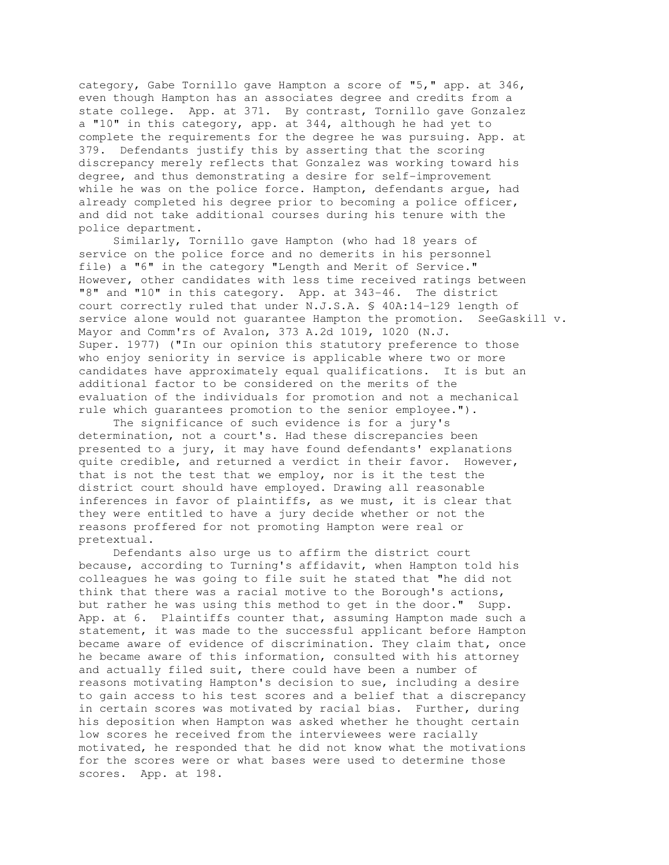category, Gabe Tornillo gave Hampton a score of "5," app. at 346, even though Hampton has an associates degree and credits from a state college. App. at 371. By contrast, Tornillo gave Gonzalez a "10" in this category, app. at 344, although he had yet to complete the requirements for the degree he was pursuing. App. at 379. Defendants justify this by asserting that the scoring discrepancy merely reflects that Gonzalez was working toward his degree, and thus demonstrating a desire for self-improvement while he was on the police force. Hampton, defendants argue, had already completed his degree prior to becoming a police officer, and did not take additional courses during his tenure with the police department.

 Similarly, Tornillo gave Hampton (who had 18 years of service on the police force and no demerits in his personnel file) a "6" in the category "Length and Merit of Service." However, other candidates with less time received ratings between "8" and "10" in this category. App. at 343-46. The district court correctly ruled that under N.J.S.A. § 40A:14-129 length of service alone would not guarantee Hampton the promotion. SeeGaskill v. Mayor and Comm'rs of Avalon, 373 A.2d 1019, 1020 (N.J. Super. 1977) ("In our opinion this statutory preference to those who enjoy seniority in service is applicable where two or more candidates have approximately equal qualifications. It is but an additional factor to be considered on the merits of the evaluation of the individuals for promotion and not a mechanical rule which guarantees promotion to the senior employee.").

 The significance of such evidence is for a jury's determination, not a court's. Had these discrepancies been presented to a jury, it may have found defendants' explanations quite credible, and returned a verdict in their favor. However, that is not the test that we employ, nor is it the test the district court should have employed. Drawing all reasonable inferences in favor of plaintiffs, as we must, it is clear that they were entitled to have a jury decide whether or not the reasons proffered for not promoting Hampton were real or pretextual.

 Defendants also urge us to affirm the district court because, according to Turning's affidavit, when Hampton told his colleagues he was going to file suit he stated that "he did not think that there was a racial motive to the Borough's actions, but rather he was using this method to get in the door." Supp. App. at 6. Plaintiffs counter that, assuming Hampton made such a statement, it was made to the successful applicant before Hampton became aware of evidence of discrimination. They claim that, once he became aware of this information, consulted with his attorney and actually filed suit, there could have been a number of reasons motivating Hampton's decision to sue, including a desire to gain access to his test scores and a belief that a discrepancy in certain scores was motivated by racial bias. Further, during his deposition when Hampton was asked whether he thought certain low scores he received from the interviewees were racially motivated, he responded that he did not know what the motivations for the scores were or what bases were used to determine those scores. App. at 198.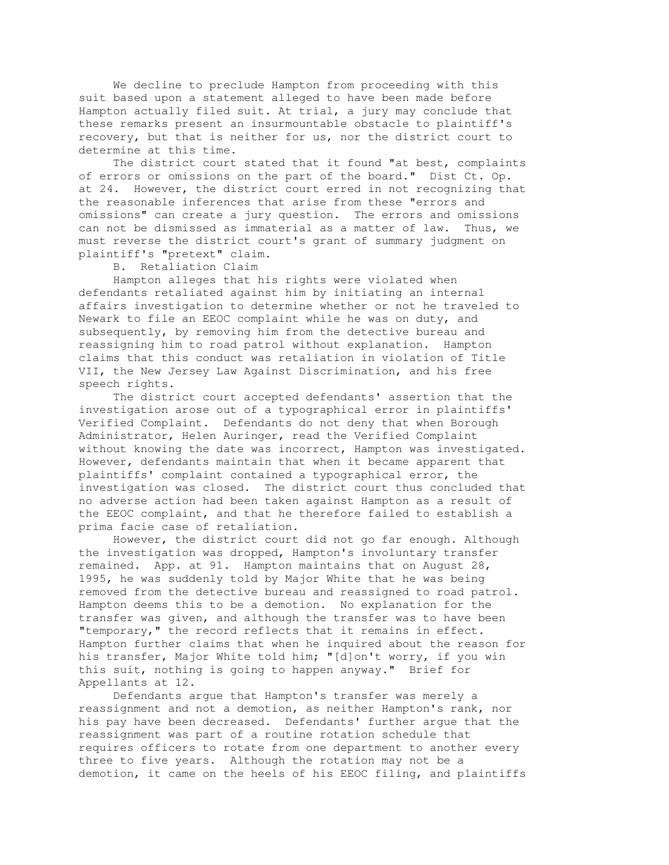We decline to preclude Hampton from proceeding with this suit based upon a statement alleged to have been made before Hampton actually filed suit. At trial, a jury may conclude that these remarks present an insurmountable obstacle to plaintiff's recovery, but that is neither for us, nor the district court to determine at this time.

 The district court stated that it found "at best, complaints of errors or omissions on the part of the board." Dist Ct. Op. at 24. However, the district court erred in not recognizing that the reasonable inferences that arise from these "errors and omissions" can create a jury question. The errors and omissions can not be dismissed as immaterial as a matter of law. Thus, we must reverse the district court's grant of summary judgment on plaintiff's "pretext" claim.

B. Retaliation Claim

 Hampton alleges that his rights were violated when defendants retaliated against him by initiating an internal affairs investigation to determine whether or not he traveled to Newark to file an EEOC complaint while he was on duty, and subsequently, by removing him from the detective bureau and reassigning him to road patrol without explanation. Hampton claims that this conduct was retaliation in violation of Title VII, the New Jersey Law Against Discrimination, and his free speech rights.

 The district court accepted defendants' assertion that the investigation arose out of a typographical error in plaintiffs' Verified Complaint. Defendants do not deny that when Borough Administrator, Helen Auringer, read the Verified Complaint without knowing the date was incorrect, Hampton was investigated. However, defendants maintain that when it became apparent that plaintiffs' complaint contained a typographical error, the investigation was closed. The district court thus concluded that no adverse action had been taken against Hampton as a result of the EEOC complaint, and that he therefore failed to establish a prima facie case of retaliation.

 However, the district court did not go far enough. Although the investigation was dropped, Hampton's involuntary transfer remained. App. at 91. Hampton maintains that on August 28, 1995, he was suddenly told by Major White that he was being removed from the detective bureau and reassigned to road patrol. Hampton deems this to be a demotion. No explanation for the transfer was given, and although the transfer was to have been "temporary," the record reflects that it remains in effect. Hampton further claims that when he inquired about the reason for his transfer, Major White told him; "[d]on't worry, if you win this suit, nothing is going to happen anyway." Brief for Appellants at 12.

 Defendants argue that Hampton's transfer was merely a reassignment and not a demotion, as neither Hampton's rank, nor his pay have been decreased. Defendants' further argue that the reassignment was part of a routine rotation schedule that requires officers to rotate from one department to another every three to five years. Although the rotation may not be a demotion, it came on the heels of his EEOC filing, and plaintiffs